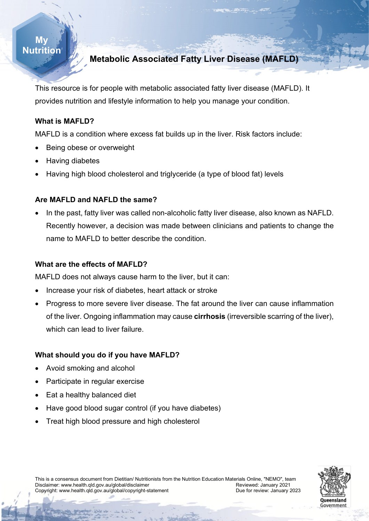### **My Nutrition**

## **Metabolic Associated Fatty Liver Disease (MAFLD)**

This resource is for people with metabolic associated fatty liver disease (MAFLD). It provides nutrition and lifestyle information to help you manage your condition.

#### **What is MAFLD?**

MAFLD is a condition where excess fat builds up in the liver. Risk factors include:

- Being obese or overweight
- Having diabetes
- Having high blood cholesterol and triglyceride (a type of blood fat) levels

#### **Are MAFLD and NAFLD the same?**

• In the past, fatty liver was called non-alcoholic fatty liver disease, also known as NAFLD. Recently however, a decision was made between clinicians and patients to change the name to MAFLD to better describe the condition.

#### **What are the effects of MAFLD?**

MAFLD does not always cause harm to the liver, but it can:

- Increase your risk of diabetes, heart attack or stroke
- Progress to more severe liver disease. The fat around the liver can cause inflammation of the liver. Ongoing inflammation may cause **cirrhosis** (irreversible scarring of the liver), which can lead to liver failure.

#### **What should you do if you have MAFLD?**

- Avoid smoking and alcohol
- Participate in regular exercise
- Eat a healthy balanced diet
- Have good blood sugar control (if you have diabetes)
- Treat high blood pressure and high cholesterol



This is a consensus document from Dietitian/ Nutritionists from the Nutrition Education Materials Online, "NEMO", team<br>Disclaimer: www.health.gld.gov.au/global/disclaimer Disclaimer: www.health.qld.gov.au/global/disclaimer<br>Copyright: www.health.qld.gov.au/qlobal/copyright-statement Review Bue for review: January 2023 Copyright: www.health.qld.gov.au/global/copyright-statement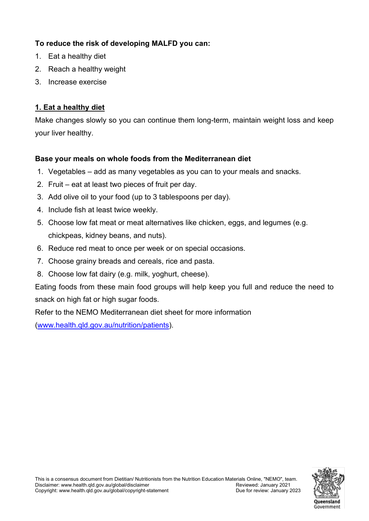## **To reduce the risk of developing MALFD you can:**

- 1. Eat a healthy diet
- 2. Reach a healthy weight
- 3. Increase exercise

## **1. Eat a healthy diet**

Make changes slowly so you can continue them long-term, maintain weight loss and keep your liver healthy.

## **Base your meals on whole foods from the Mediterranean diet**

- 1. Vegetables add as many vegetables as you can to your meals and snacks.
- 2. Fruit eat at least two pieces of fruit per day.
- 3. Add olive oil to your food (up to 3 tablespoons per day).
- 4. Include fish at least twice weekly.
- 5. Choose low fat meat or meat alternatives like chicken, eggs, and legumes (e.g. chickpeas, kidney beans, and nuts).
- 6. Reduce red meat to once per week or on special occasions.
- $\overline{\phantom{a}}$ 7. Choose grainy breads and cereals, rice and pasta.
- 8. Choose low fat dairy (e.g. milk, yoghurt, cheese).

Eating foods from these main food groups will help keep you full and reduce the need to snack on high fat or high sugar foods.

Refer to the NEMO Mediterranean diet sheet for more information

[\(www.health.qld.gov.au/nutrition/patients\)](http://www.health.qld.gov.au/nutrition/patients).

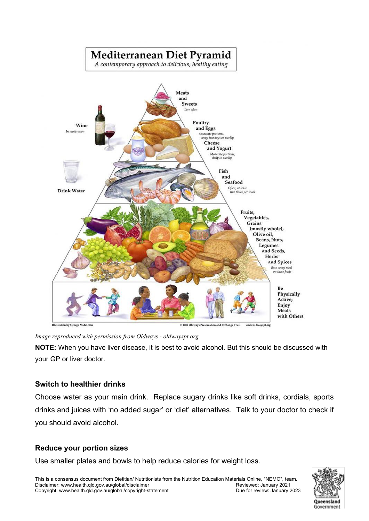# Mediterranean Diet Pyramid

A contemporary approach to delicious, healthy eating



*Image reproduced with permission from Oldways - oldwayspt.org*

**NOTE:** When you have liver disease, it is best to avoid alcohol. But this should be discussed with your GP or liver doctor.

#### **Switch to healthier drinks**

Choose water as your main drink. Replace sugary drinks like soft drinks, cordials, sports drinks and juices with 'no added sugar' or 'diet' alternatives. Talk to your doctor to check if you should avoid alcohol.

#### **Reduce your portion sizes**

Use smaller plates and bowls to help reduce calories for weight loss.

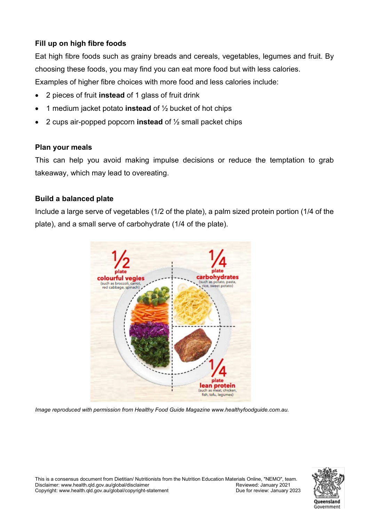## **Fill up on high fibre foods**

Eat high fibre foods such as grainy breads and cereals, vegetables, legumes and fruit. By choosing these foods, you may find you can eat more food but with less calories. Examples of higher fibre choices with more food and less calories include:

- 2 pieces of fruit **instead** of 1 glass of fruit drink
- 1 medium jacket potato **instead** of ½ bucket of hot chips
- 2 cups air-popped popcorn **instead** of ½ small packet chips

#### **Plan your meals**

This can help you avoid making impulse decisions or reduce the temptation to grab takeaway, which may lead to overeating.

#### **Build a balanced plate**

Include a large serve of vegetables (1/2 of the plate), a palm sized protein portion (1/4 of the plate), and a small serve of carbohydrate (1/4 of the plate).



*Image reproduced with permission from Healthy Food Guide Magazine www.healthyfoodguide.com.au.* 



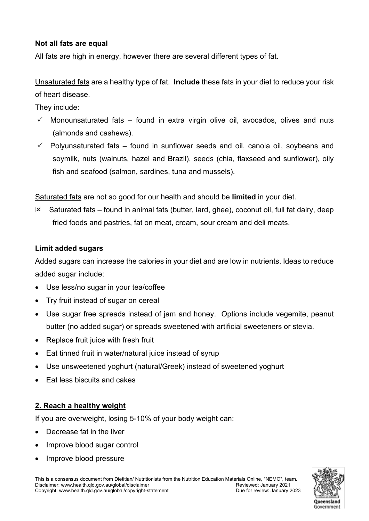#### **Not all fats are equal**

All fats are high in energy, however there are several different types of fat.

Unsaturated fats are a healthy type of fat. **Include** these fats in your diet to reduce your risk of heart disease.

They include:

- $\checkmark$  Monounsaturated fats found in extra virgin olive oil, avocados, olives and nuts (almonds and cashews).
- $\checkmark$  Polyunsaturated fats found in sunflower seeds and oil, canola oil, soybeans and soymilk, nuts (walnuts, hazel and Brazil), seeds (chia, flaxseed and sunflower), oily fish and seafood (salmon, sardines, tuna and mussels).

Saturated fats are not so good for our health and should be **limited** in your diet.

 $\boxtimes$  Saturated fats – found in animal fats (butter, lard, ghee), coconut oil, full fat dairy, deep fried foods and pastries, fat on meat, cream, sour cream and deli meats.

#### **Limit added sugars**

**My**  Added sugars can increase the calories in your diet and are low in nutrients. Ideas to reduce<br>——————————————————— added sugar include:

- Use less/no sugar in your tea/coffee
- Try fruit instead of sugar on cereal
- Use sugar free spreads instead of jam and honey. Options include vegemite, peanut butter (no added sugar) or spreads sweetened with artificial sweeteners or stevia.
- Replace fruit juice with fresh fruit
- Eat tinned fruit in water/natural juice instead of syrup
- Use unsweetened yoghurt (natural/Greek) instead of sweetened yoghurt
- Eat less biscuits and cakes

#### **2. Reach a healthy weight**

If you are overweight, losing 5-10% of your body weight can:

- Decrease fat in the liver
- Improve blood sugar control
- Improve blood pressure

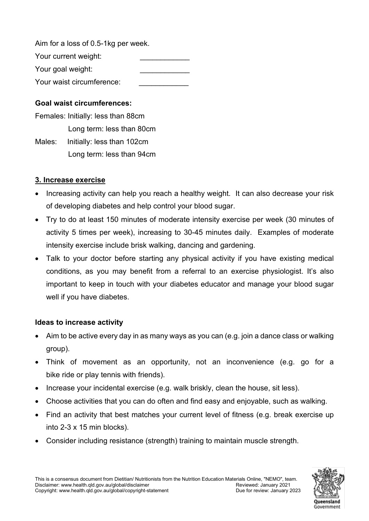Aim for a loss of 0.5-1kg per week.

Your current weight: Your goal weight:

Your waist circumference:

## **Goal waist circumferences:**

Females: Initially: less than 88cm Long term: less than 80cm

Males: Initially: less than 102cm Long term: less than 94cm

## **3. Increase exercise**

- Increasing activity can help you reach a healthy weight. It can also decrease your risk of developing diabetes and help control your blood sugar.
- Try to do at least 150 minutes of moderate intensity exercise per week (30 minutes of activity 5 times per week), increasing to 30-45 minutes daily. Examples of moderate intensity exercise include brisk walking, dancing and gardening.
- **My**  Talk to your doctor before starting any physical activity if you have existing medical any priyoic<br>m a rafarra **Nutrition** conditions, as you may benefit from a referral to an exercise physiologist. It's also important to keep in touch with your diabetes educator and manage your blood sugar well if you have diabetes.

## **Ideas to increase activity**

- Aim to be active every day in as many ways as you can (e.g. join a dance class or walking group).
- Think of movement as an opportunity, not an inconvenience (e.g. go for a bike ride or play tennis with friends).
- Increase your incidental exercise (e.g. walk briskly, clean the house, sit less).
- Choose activities that you can do often and find easy and enjoyable, such as walking.
- Find an activity that best matches your current level of fitness (e.g. break exercise up into 2-3 x 15 min blocks).
- Consider including resistance (strength) training to maintain muscle strength.